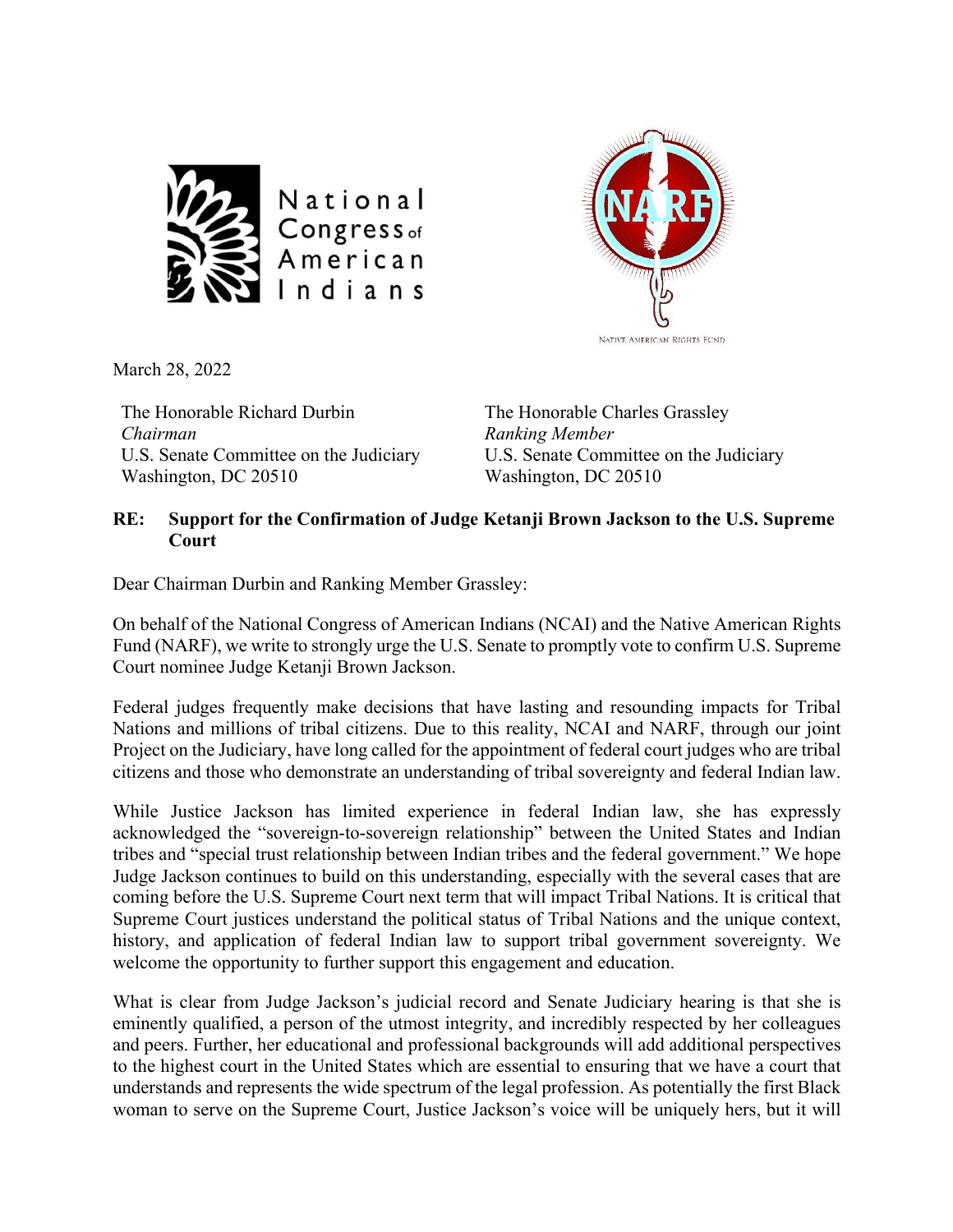



March 28, 2022

The Honorable Richard Durbin *Chairman* U.S. Senate Committee on the Judiciary Washington, DC 20510

The Honorable Charles Grassley *Ranking Member* U.S. Senate Committee on the Judiciary Washington, DC 20510

## **RE: Support for the Confirmation of Judge Ketanji Brown Jackson to the U.S. Supreme Court**

Dear Chairman Durbin and Ranking Member Grassley:

On behalf of the National Congress of American Indians (NCAI) and the Native American Rights Fund (NARF), we write to strongly urge the U.S. Senate to promptly vote to confirm U.S. Supreme Court nominee Judge Ketanji Brown Jackson.

Federal judges frequently make decisions that have lasting and resounding impacts for Tribal Nations and millions of tribal citizens. Due to this reality, NCAI and NARF, through our joint Project on the Judiciary, have long called for the appointment of federal court judges who are tribal citizens and those who demonstrate an understanding of tribal sovereignty and federal Indian law.

While Justice Jackson has limited experience in federal Indian law, she has expressly acknowledged the "sovereign-to-sovereign relationship" between the United States and Indian tribes and "special trust relationship between Indian tribes and the federal government." We hope Judge Jackson continues to build on this understanding, especially with the several cases that are coming before the U.S. Supreme Court next term that will impact Tribal Nations. It is critical that Supreme Court justices understand the political status of Tribal Nations and the unique context, history, and application of federal Indian law to support tribal government sovereignty. We welcome the opportunity to further support this engagement and education.

What is clear from Judge Jackson's judicial record and Senate Judiciary hearing is that she is eminently qualified, a person of the utmost integrity, and incredibly respected by her colleagues and peers. Further, her educational and professional backgrounds will add additional perspectives to the highest court in the United States which are essential to ensuring that we have a court that understands and represents the wide spectrum of the legal profession. As potentially the first Black woman to serve on the Supreme Court, Justice Jackson's voice will be uniquely hers, but it will